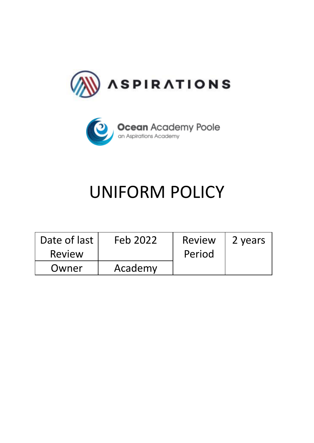



# UNIFORM POLICY

| Date of last | Feb 2022 | <b>Review</b> | 2 years |
|--------------|----------|---------------|---------|
| Review       |          | Period        |         |
| Owner        | Academy  |               |         |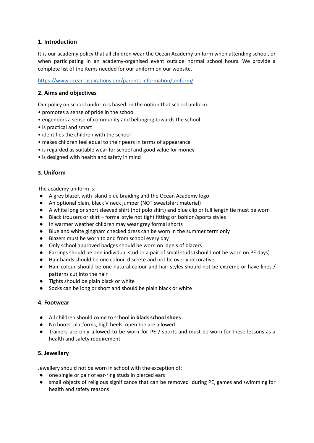# **1. Introduction**

It is our academy policy that all children wear the Ocean Academy uniform when attending school, or when participating in an academy-organised event outside normal school hours. We provide a complete list of the items needed for our uniform on our website.

<https://www.ocean-aspirations.org/parents-information/uniform/>

## **2. Aims and objectives**

Our policy on school uniform is based on the notion that school uniform:

- promotes a sense of pride in the school
- engenders a sense of community and belonging towards the school
- is practical and smart
- identifies the children with the school
- makes children feel equal to their peers in terms of appearance
- is regarded as suitable wear for school and good value for money
- is designed with health and safety in mind

#### **3. Uniform**

The academy uniform is:

- A grey blazer, with island blue braiding and the Ocean Academy logo
- An optional plain, black V neck jumper (NOT sweatshirt material)
- A white long or short sleeved shirt (not polo shirt) and blue clip or full length tie must be worn
- Black trousers or skirt formal style not tight fitting or fashion/sports styles
- In warmer weather children may wear grey formal shorts
- Blue and white gingham checked dress can be worn in the summer term only
- Blazers must be worn to and from school every day
- Only school approved badges should be worn on lapels of blazers
- Earrings should be one individual stud or a pair of small studs (should not be worn on PE days)
- Hair bands should be one colour, discrete and not be overly decorative.
- Hair colour should be one natural colour and hair styles should not be extreme or have lines / patterns cut into the hair
- Tights should be plain black or white
- Socks can be long or short and should be plain black or white

#### **4. Footwear**

- All children should come to school in **black school shoes**
- No boots, platforms, high heels, open toe are allowed
- Trainers are only allowed to be worn for PE / sports and must be worn for these lessons as a health and safety requirement

## **5. Jewellery**

Jewellery should not be worn in school with the exception of:

- one single or pair of ear-ring studs in pierced ears
- small objects of religious significance that can be removed during PE, games and swimming for health and safety reasons